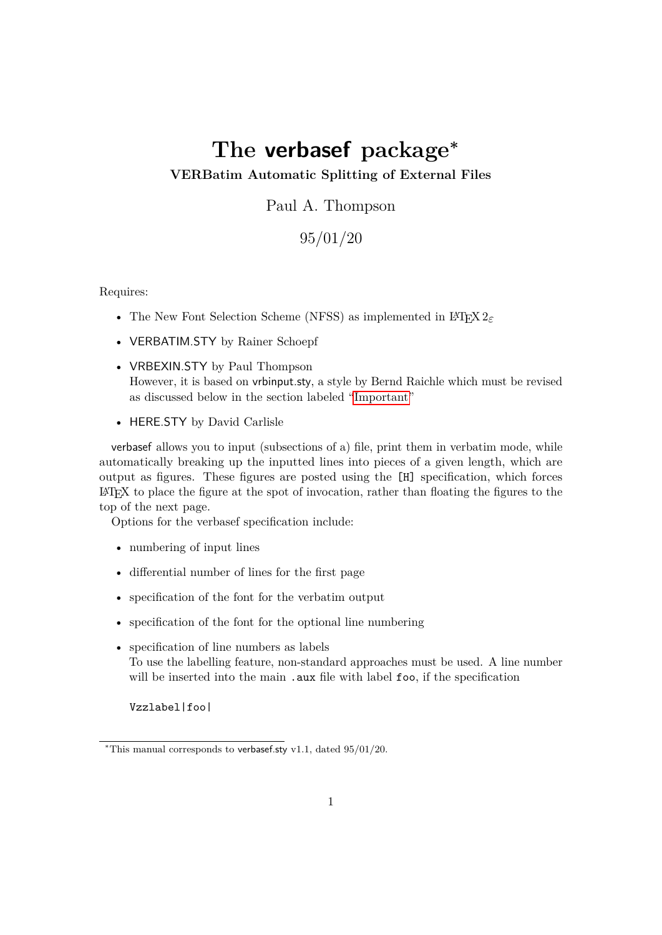# **The verbasef package<sup>∗</sup>**

#### **VERBatim Automatic Splitting of External Files**

Paul A. Thompson

95/01/20

Requires:

- The New Font Selection Scheme (NFSS) as implemented in L<sup>AT</sup>EX 2<sub>ε</sub>
- VERBATIM.STY by Rainer Schoepf
- VRBEXIN.STY by Paul Thompson However, it is based on vrbinput.sty, a style by Bernd Raichle which must be revised as discussed below in the section labeled ["Important"](#page-2-0)
- HERE.STY by David Carlisle

verbasef allows you to input (subsections of a) file, print them in verbatim mode, while automatically breaking up the inputted lines into pieces of a given length, which are output as figures. These figures are posted using the [H] specification, which forces  $\Delta E$ <sub>TEX</sub> to place the figure at the spot of invocation, rather than floating the figures to the top of the next page.

Options for the verbasef specification include:

- numbering of input lines
- differential number of lines for the first page
- specification of the font for the verbatim output
- specification of the font for the optional line numbering
- specification of line numbers as labels To use the labelling feature, non-standard approaches must be used. A line number will be inserted into the main .aux file with label foo, if the specification

Vzzlabel|foo|

<sup>∗</sup>This manual corresponds to verbasef.sty v1.1, dated 95/01/20.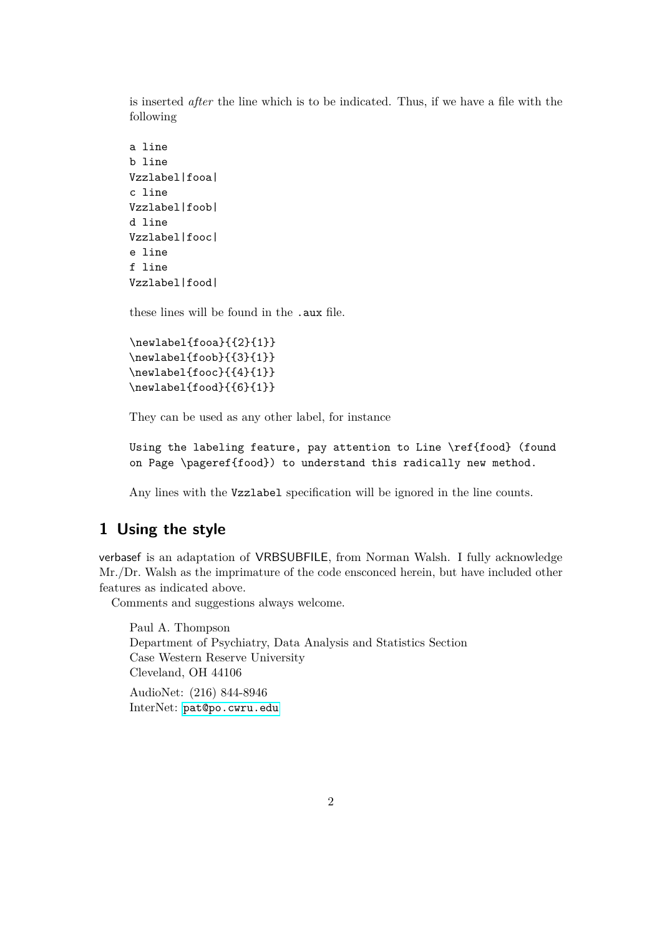is inserted *after* the line which is to be indicated. Thus, if we have a file with the following

```
a line
b line
Vzzlabel|fooa|
c line
Vzzlabel|foob|
d line
Vzzlabel|fooc|
e line
f line
Vzzlabel|food|
```
these lines will be found in the .aux file.

```
\newlabel{fooa}{{2}{1}}
\newlabel{foob}{{3}{1}}
\newlabel{fooc}{{4}{1}}
\newlabel{food}{{6}{1}}
```
They can be used as any other label, for instance

Using the labeling feature, pay attention to Line \ref{food} (found on Page \pageref{food}) to understand this radically new method.

Any lines with the Vzzlabel specification will be ignored in the line counts.

### **1 Using the style**

verbasef is an adaptation of VRBSUBFILE, from Norman Walsh. I fully acknowledge Mr./Dr. Walsh as the imprimature of the code ensconced herein, but have included other features as indicated above.

Comments and suggestions always welcome.

Paul A. Thompson Department of Psychiatry, Data Analysis and Statistics Section Case Western Reserve University Cleveland, OH 44106 AudioNet: (216) 844-8946 InterNet: [pat@po.cwru.edu](mailto:pat@po.cwru.edu)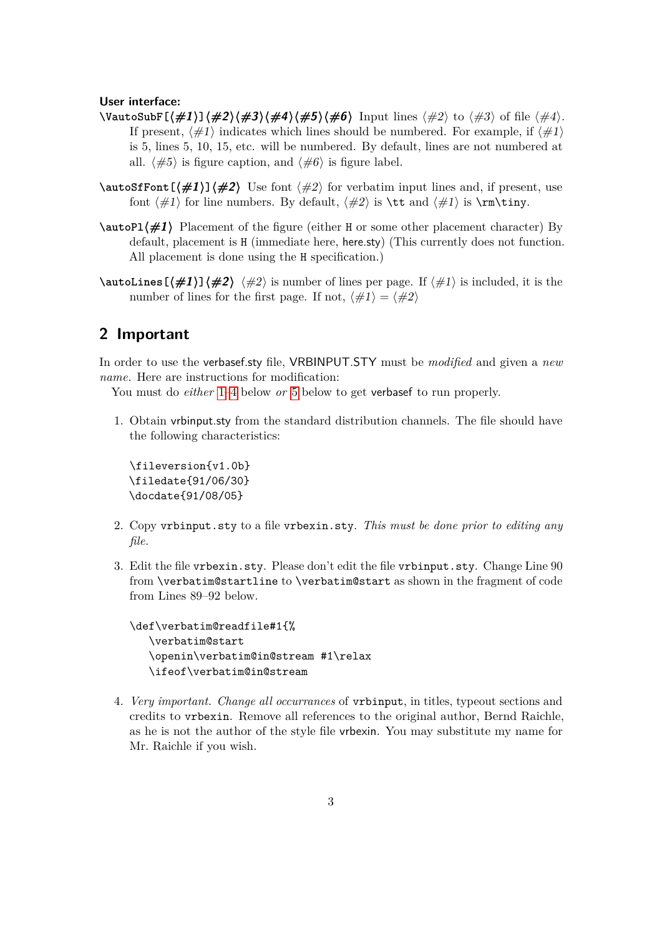#### **User interface:**

- **\VautoSubF[〈#1〉]〈#2〉〈#3〉〈#4〉〈#5〉〈#6〉** Input lines 〈#2〉 to 〈#3〉 of file 〈#4〉. If present,  $\langle \#1 \rangle$  indicates which lines should be numbered. For example, if  $\langle \#1 \rangle$ is 5, lines 5, 10, 15, etc. will be numbered. By default, lines are not numbered at all.  $\langle \#5 \rangle$  is figure caption, and  $\langle \#6 \rangle$  is figure label.
- $\hat{\mathbf{Font}}[\#1]\mathbf{1} \oplus \mathbf{2}$  Use font  $\langle \#2 \rangle$  for verbatim input lines and, if present, use font  $\langle \#1 \rangle$  for line numbers. By default,  $\langle \#2 \rangle$  is  $\tau \in \langle \#1 \rangle$  is  $\tau \in \langle \#1 \rangle$ .
- **\autoPl〈#1〉** Placement of the figure (either H or some other placement character) By default, placement is H (immediate here, here.sty) (This currently does not function. All placement is done using the H specification.)
- $\lambda$ **utoLines[** $\sharp$ **1)]** $\sharp$ **2)**  $\sharp$ 2) is number of lines per page. If  $\sharp$ 1) is included, it is the number of lines for the first page. If not,  $\langle \#1 \rangle = \langle \#2 \rangle$

## <span id="page-2-0"></span>**2 Important**

In order to use the verbasef.sty file, VRBINPUT.STY must be *modified* and given a *new name.* Here are instructions for modification:

You must do *either* [1–](#page-2-1)[4](#page-2-2) below *or* [5](#page-3-0) below to get verbasef to run properly.

<span id="page-2-1"></span>1. Obtain vrbinput.sty from the standard distribution channels. The file should have the following characteristics:

\fileversion{v1.0b} \filedate{91/06/30} \docdate{91/08/05}

- 2. Copy vrbinput.sty to a file vrbexin.sty. *This must be done prior to editing any file.*
- 3. Edit the file vrbexin.sty. Please don't edit the file vrbinput.sty. Change Line 90 from \verbatim@startline to \verbatim@start as shown in the fragment of code from Lines 89–92 below.

```
\def\verbatim@readfile#1{%
  \verbatim@start
  \openin\verbatim@in@stream #1\relax
  \ifeof\verbatim@in@stream
```
<span id="page-2-2"></span>4. *Very important. Change all occurrances* of vrbinput, in titles, typeout sections and credits to vrbexin. Remove all references to the original author, Bernd Raichle, as he is not the author of the style file vrbexin. You may substitute my name for Mr. Raichle if you wish.